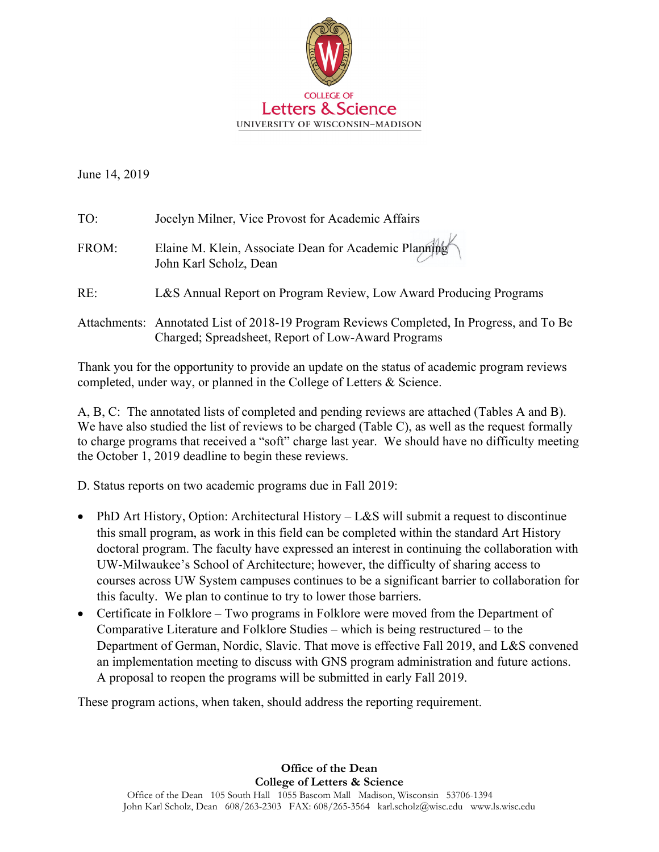

June 14, 2019

| TO:   | Jocelyn Milner, Vice Provost for Academic Affairs                                                                                              |
|-------|------------------------------------------------------------------------------------------------------------------------------------------------|
| FROM: | Elaine M. Klein, Associate Dean for Academic Planning<br>John Karl Scholz, Dean                                                                |
| RE:   | L&S Annual Report on Program Review, Low Award Producing Programs                                                                              |
|       | Attachments: Annotated List of 2018-19 Program Reviews Completed, In Progress, and To Be<br>Charged; Spreadsheet, Report of Low-Award Programs |

Thank you for the opportunity to provide an update on the status of academic program reviews completed, under way, or planned in the College of Letters & Science.

A, B, C: The annotated lists of completed and pending reviews are attached (Tables A and B). We have also studied the list of reviews to be charged (Table C), as well as the request formally to charge programs that received a "soft" charge last year. We should have no difficulty meeting the October 1, 2019 deadline to begin these reviews.

D. Status reports on two academic programs due in Fall 2019:

- PhD Art History, Option: Architectural History L&S will submit a request to discontinue this small program, as work in this field can be completed within the standard Art History doctoral program. The faculty have expressed an interest in continuing the collaboration with UW-Milwaukee's School of Architecture; however, the difficulty of sharing access to courses across UW System campuses continues to be a significant barrier to collaboration for this faculty. We plan to continue to try to lower those barriers.
- Certificate in Folklore Two programs in Folklore were moved from the Department of Comparative Literature and Folklore Studies – which is being restructured – to the Department of German, Nordic, Slavic. That move is effective Fall 2019, and L&S convened an implementation meeting to discuss with GNS program administration and future actions. A proposal to reopen the programs will be submitted in early Fall 2019.

These program actions, when taken, should address the reporting requirement.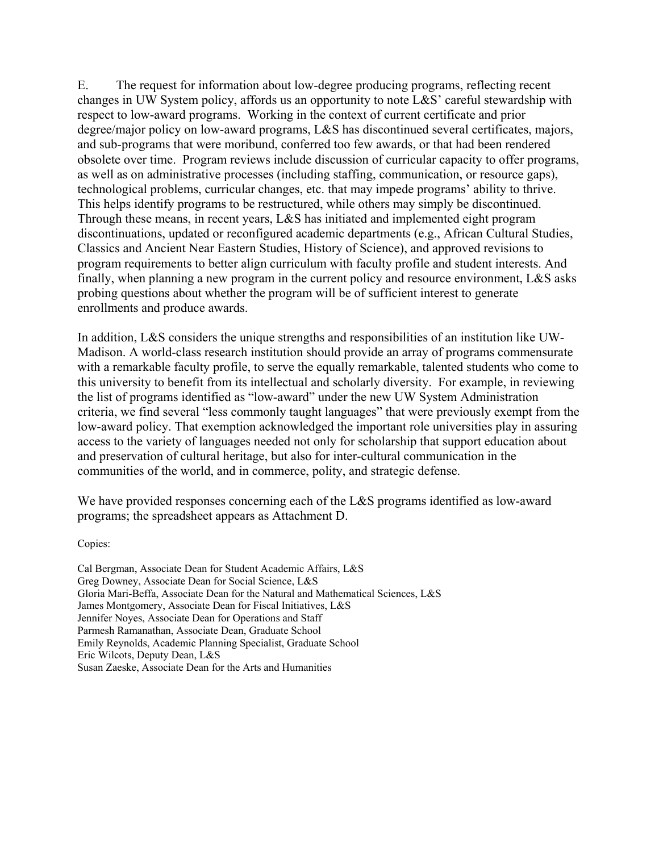E. The request for information about low-degree producing programs, reflecting recent changes in UW System policy, affords us an opportunity to note L&S' careful stewardship with respect to low-award programs. Working in the context of current certificate and prior degree/major policy on low-award programs, L&S has discontinued several certificates, majors, and sub-programs that were moribund, conferred too few awards, or that had been rendered obsolete over time. Program reviews include discussion of curricular capacity to offer programs, as well as on administrative processes (including staffing, communication, or resource gaps), technological problems, curricular changes, etc. that may impede programs' ability to thrive. This helps identify programs to be restructured, while others may simply be discontinued. Through these means, in recent years, L&S has initiated and implemented eight program discontinuations, updated or reconfigured academic departments (e.g., African Cultural Studies, Classics and Ancient Near Eastern Studies, History of Science), and approved revisions to program requirements to better align curriculum with faculty profile and student interests. And finally, when planning a new program in the current policy and resource environment, L&S asks probing questions about whether the program will be of sufficient interest to generate enrollments and produce awards.

In addition, L&S considers the unique strengths and responsibilities of an institution like UW-Madison. A world-class research institution should provide an array of programs commensurate with a remarkable faculty profile, to serve the equally remarkable, talented students who come to this university to benefit from its intellectual and scholarly diversity. For example, in reviewing the list of programs identified as "low-award" under the new UW System Administration criteria, we find several "less commonly taught languages" that were previously exempt from the low-award policy. That exemption acknowledged the important role universities play in assuring access to the variety of languages needed not only for scholarship that support education about and preservation of cultural heritage, but also for inter-cultural communication in the communities of the world, and in commerce, polity, and strategic defense.

We have provided responses concerning each of the L&S programs identified as low-award programs; the spreadsheet appears as Attachment D.

Copies:

Cal Bergman, Associate Dean for Student Academic Affairs, L&S Greg Downey, Associate Dean for Social Science, L&S Gloria Mari-Beffa, Associate Dean for the Natural and Mathematical Sciences, L&S James Montgomery, Associate Dean for Fiscal Initiatives, L&S Jennifer Noyes, Associate Dean for Operations and Staff Parmesh Ramanathan, Associate Dean, Graduate School Emily Reynolds, Academic Planning Specialist, Graduate School Eric Wilcots, Deputy Dean, L&S Susan Zaeske, Associate Dean for the Arts and Humanities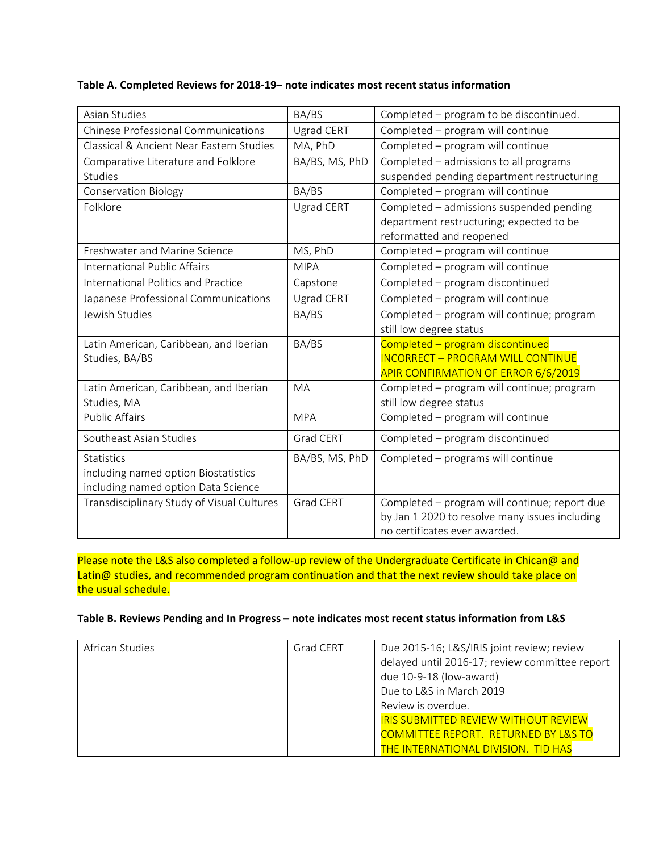## **Table A. Completed Reviews for 2018‐19– note indicates most recent status information**

| Asian Studies                              | BA/BS          | Completed - program to be discontinued.        |
|--------------------------------------------|----------------|------------------------------------------------|
| <b>Chinese Professional Communications</b> | Ugrad CERT     | Completed - program will continue              |
| Classical & Ancient Near Eastern Studies   | MA, PhD        | Completed - program will continue              |
| Comparative Literature and Folklore        | BA/BS, MS, PhD | Completed - admissions to all programs         |
| <b>Studies</b>                             |                | suspended pending department restructuring     |
| <b>Conservation Biology</b>                | BA/BS          | Completed - program will continue              |
| Folklore                                   | Ugrad CERT     | Completed - admissions suspended pending       |
|                                            |                | department restructuring; expected to be       |
|                                            |                | reformatted and reopened                       |
| Freshwater and Marine Science              | MS, PhD        | Completed - program will continue              |
| <b>International Public Affairs</b>        | <b>MIPA</b>    | Completed - program will continue              |
| <b>International Politics and Practice</b> | Capstone       | Completed - program discontinued               |
| Japanese Professional Communications       | Ugrad CERT     | Completed - program will continue              |
| Jewish Studies                             | BA/BS          | Completed - program will continue; program     |
|                                            |                | still low degree status                        |
| Latin American, Caribbean, and Iberian     | BA/BS          | Completed - program discontinued               |
| Studies, BA/BS                             |                | <b>INCORRECT - PROGRAM WILL CONTINUE</b>       |
|                                            |                | <b>APIR CONFIRMATION OF ERROR 6/6/2019</b>     |
| Latin American, Caribbean, and Iberian     | <b>MA</b>      | Completed - program will continue; program     |
| Studies, MA                                |                | still low degree status                        |
| <b>Public Affairs</b>                      | <b>MPA</b>     | Completed - program will continue              |
| Southeast Asian Studies                    | Grad CERT      | Completed - program discontinued               |
| <b>Statistics</b>                          | BA/BS, MS, PhD | Completed - programs will continue             |
| including named option Biostatistics       |                |                                                |
| including named option Data Science        |                |                                                |
| Transdisciplinary Study of Visual Cultures | Grad CERT      | Completed - program will continue; report due  |
|                                            |                | by Jan 1 2020 to resolve many issues including |
|                                            |                | no certificates ever awarded.                  |

Please note the L&S also completed a follow-up review of the Undergraduate Certificate in Chican@ and Latin@ studies, and recommended program continuation and that the next review should take place on the usual schedule.

## **Table B. Reviews Pending and In Progress – note indicates most recent status information from L&S**

| African Studies | <b>Grad CERT</b> | Due 2015-16; L&S/IRIS joint review; review      |
|-----------------|------------------|-------------------------------------------------|
|                 |                  | delayed until 2016-17; review committee report  |
|                 |                  | due 10-9-18 (low-award)                         |
|                 |                  | Due to L&S in March 2019                        |
|                 |                  | Review is overdue.                              |
|                 |                  | <b>IRIS SUBMITTED REVIEW WITHOUT REVIEW</b>     |
|                 |                  | <b>COMMITTEE REPORT. RETURNED BY L&amp;S TO</b> |
|                 |                  | <b>THE INTERNATIONAL DIVISION. TID HAS</b>      |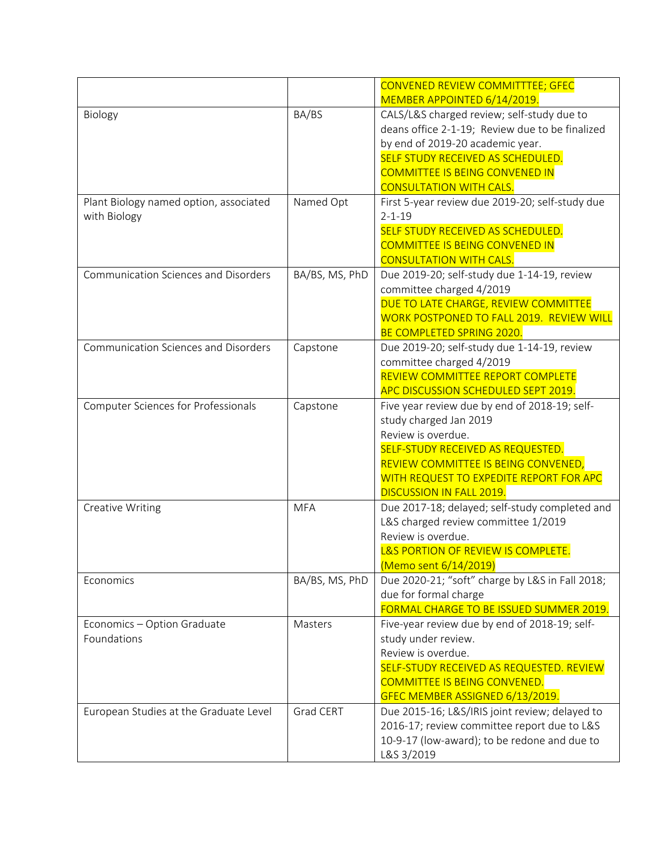|                                                        |                | CONVENED REVIEW COMMITTTEE; GFEC<br>MEMBER APPOINTED 6/14/2019.                                                                                                                                                                                   |
|--------------------------------------------------------|----------------|---------------------------------------------------------------------------------------------------------------------------------------------------------------------------------------------------------------------------------------------------|
| Biology                                                | BA/BS          | CALS/L&S charged review; self-study due to<br>deans office 2-1-19; Review due to be finalized<br>by end of 2019-20 academic year.<br>SELF STUDY RECEIVED AS SCHEDULED.<br><b>COMMITTEE IS BEING CONVENED IN</b><br><b>CONSULTATION WITH CALS.</b> |
| Plant Biology named option, associated<br>with Biology | Named Opt      | First 5-year review due 2019-20; self-study due<br>$2 - 1 - 19$<br>SELF STUDY RECEIVED AS SCHEDULED.<br><b>COMMITTEE IS BEING CONVENED IN</b><br><b>CONSULTATION WITH CALS.</b>                                                                   |
| <b>Communication Sciences and Disorders</b>            | BA/BS, MS, PhD | Due 2019-20; self-study due 1-14-19, review<br>committee charged 4/2019<br>DUE TO LATE CHARGE, REVIEW COMMITTEE<br>WORK POSTPONED TO FALL 2019. REVIEW WILL<br>BE COMPLETED SPRING 2020.                                                          |
| <b>Communication Sciences and Disorders</b>            | Capstone       | Due 2019-20; self-study due 1-14-19, review<br>committee charged 4/2019<br><b>REVIEW COMMITTEE REPORT COMPLETE</b><br><b>APC DISCUSSION SCHEDULED SEPT 2019.</b>                                                                                  |
| Computer Sciences for Professionals                    | Capstone       | Five year review due by end of 2018-19; self-<br>study charged Jan 2019<br>Review is overdue.<br>SELF-STUDY RECEIVED AS REQUESTED.<br>REVIEW COMMITTEE IS BEING CONVENED,<br>WITH REQUEST TO EXPEDITE REPORT FOR APC<br>DISCUSSION IN FALL 2019.  |
| <b>Creative Writing</b>                                | <b>MFA</b>     | Due 2017-18; delayed; self-study completed and<br>L&S charged review committee 1/2019<br>Review is overdue.<br>L&S PORTION OF REVIEW IS COMPLETE.<br>(Memo sent 6/14/2019)                                                                        |
| Economics                                              | BA/BS, MS, PhD | Due 2020-21; "soft" charge by L&S in Fall 2018;<br>due for formal charge<br>FORMAL CHARGE TO BE ISSUED SUMMER 2019.                                                                                                                               |
| Economics - Option Graduate<br>Foundations             | Masters        | Five-year review due by end of 2018-19; self-<br>study under review.<br>Review is overdue.<br>SELF-STUDY RECEIVED AS REQUESTED. REVIEW<br><b>COMMITTEE IS BEING CONVENED.</b><br>GFEC MEMBER ASSIGNED 6/13/2019.                                  |
| European Studies at the Graduate Level                 | Grad CERT      | Due 2015-16; L&S/IRIS joint review; delayed to<br>2016-17; review committee report due to L&S<br>10-9-17 (low-award); to be redone and due to<br>L&S 3/2019                                                                                       |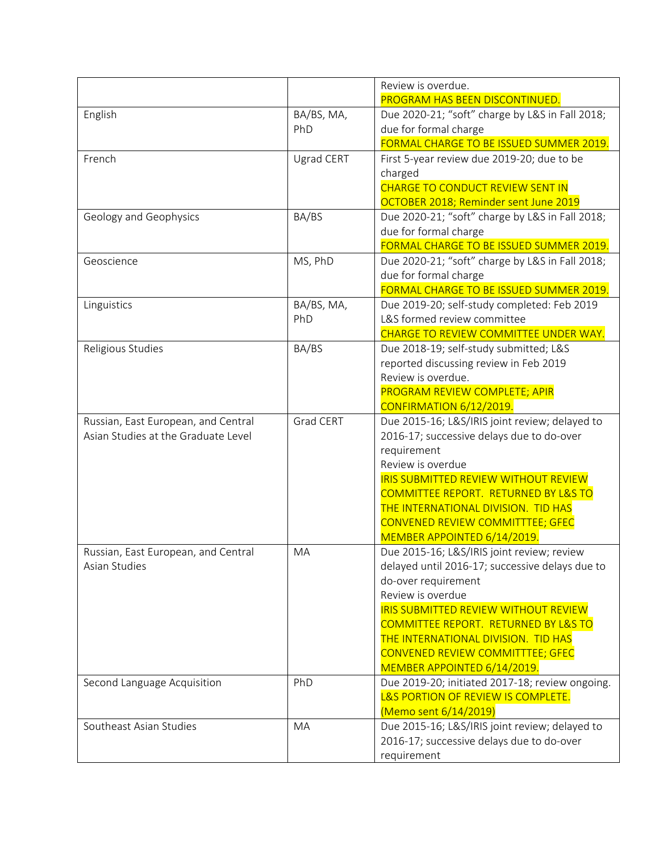|                                     |                  | Review is overdue.                                                                    |
|-------------------------------------|------------------|---------------------------------------------------------------------------------------|
|                                     |                  | PROGRAM HAS BEEN DISCONTINUED.                                                        |
| English                             | BA/BS, MA,       | Due 2020-21; "soft" charge by L&S in Fall 2018;                                       |
|                                     | PhD              | due for formal charge                                                                 |
|                                     |                  | FORMAL CHARGE TO BE ISSUED SUMMER 2019.                                               |
| French                              | Ugrad CERT       | First 5-year review due 2019-20; due to be                                            |
|                                     |                  | charged                                                                               |
|                                     |                  | CHARGE TO CONDUCT REVIEW SENT IN                                                      |
|                                     |                  | OCTOBER 2018; Reminder sent June 2019                                                 |
| Geology and Geophysics              | BA/BS            | Due 2020-21; "soft" charge by L&S in Fall 2018;                                       |
|                                     |                  | due for formal charge                                                                 |
|                                     |                  | FORMAL CHARGE TO BE ISSUED SUMMER 2019.                                               |
| Geoscience                          | MS, PhD          | Due 2020-21; "soft" charge by L&S in Fall 2018;                                       |
|                                     |                  | due for formal charge                                                                 |
|                                     |                  | FORMAL CHARGE TO BE ISSUED SUMMER 2019.                                               |
| Linguistics                         | BA/BS, MA,       | Due 2019-20; self-study completed: Feb 2019<br>L&S formed review committee            |
|                                     | PhD              | CHARGE TO REVIEW COMMITTEE UNDER WAY.                                                 |
| Religious Studies                   | BA/BS            | Due 2018-19; self-study submitted; L&S                                                |
|                                     |                  | reported discussing review in Feb 2019                                                |
|                                     |                  | Review is overdue.                                                                    |
|                                     |                  | PROGRAM REVIEW COMPLETE; APIR                                                         |
|                                     |                  | CONFIRMATION 6/12/2019.                                                               |
| Russian, East European, and Central | <b>Grad CERT</b> | Due 2015-16; L&S/IRIS joint review; delayed to                                        |
| Asian Studies at the Graduate Level |                  | 2016-17; successive delays due to do-over                                             |
|                                     |                  | requirement                                                                           |
|                                     |                  | Review is overdue                                                                     |
|                                     |                  | <b>IRIS SUBMITTED REVIEW WITHOUT REVIEW</b>                                           |
|                                     |                  | COMMITTEE REPORT. RETURNED BY L&S TO                                                  |
|                                     |                  | THE INTERNATIONAL DIVISION. TID HAS                                                   |
|                                     |                  | CONVENED REVIEW COMMITTTEE; GFEC                                                      |
|                                     |                  | MEMBER APPOINTED 6/14/2019.                                                           |
| Russian, East European, and Central | MA               | Due 2015-16; L&S/IRIS joint review; review                                            |
| Asian Studies                       |                  | delayed until 2016-17; successive delays due to                                       |
|                                     |                  | do-over requirement                                                                   |
|                                     |                  | Review is overdue                                                                     |
|                                     |                  | <b>IRIS SUBMITTED REVIEW WITHOUT REVIEW</b>                                           |
|                                     |                  | COMMITTEE REPORT. RETURNED BY L&S TO                                                  |
|                                     |                  | THE INTERNATIONAL DIVISION. TID HAS                                                   |
|                                     |                  | <b>CONVENED REVIEW COMMITTTEE; GFEC</b>                                               |
|                                     | PhD              | MEMBER APPOINTED 6/14/2019.                                                           |
| Second Language Acquisition         |                  | Due 2019-20; initiated 2017-18; review ongoing.<br>L&S PORTION OF REVIEW IS COMPLETE. |
|                                     |                  | (Memo sent 6/14/2019)                                                                 |
| Southeast Asian Studies             | MA               | Due 2015-16; L&S/IRIS joint review; delayed to                                        |
|                                     |                  | 2016-17; successive delays due to do-over                                             |
|                                     |                  | requirement                                                                           |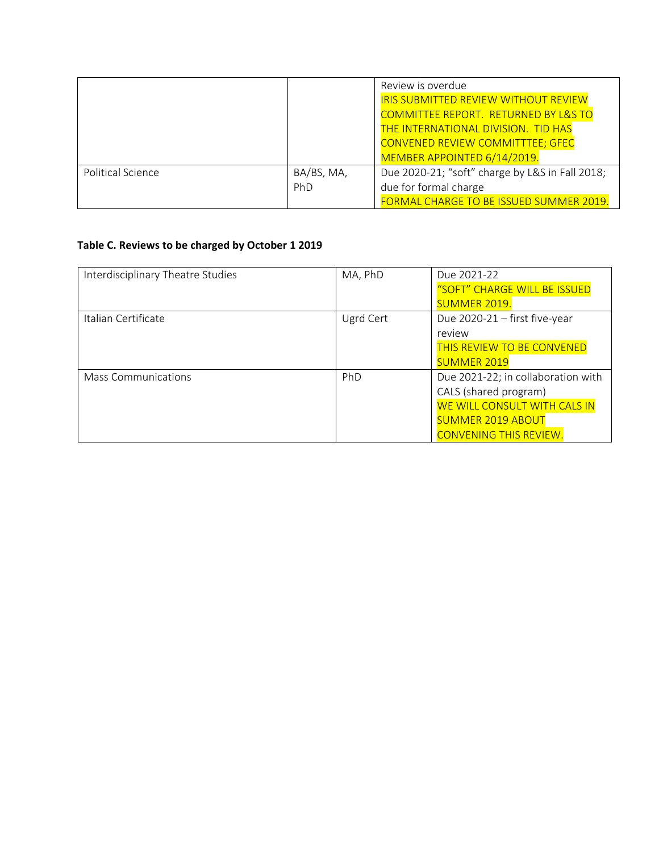|                   |                   | Review is overdue<br><b>IRIS SUBMITTED REVIEW WITHOUT REVIEW</b><br><b>COMMITTEE REPORT. RETURNED BY L&amp;S TO</b><br>THE INTERNATIONAL DIVISION. TID HAS<br><b>CONVENED REVIEW COMMITTTEE; GFEC</b><br>MEMBER APPOINTED 6/14/2019. |
|-------------------|-------------------|--------------------------------------------------------------------------------------------------------------------------------------------------------------------------------------------------------------------------------------|
| Political Science | BA/BS, MA,<br>PhD | Due 2020-21; "soft" charge by L&S in Fall 2018;<br>due for formal charge<br>FORMAL CHARGE TO BE ISSUED SUMMER 2019.                                                                                                                  |

## **Table C. Reviews to be charged by October 1 2019**

| Interdisciplinary Theatre Studies | MA, PhD   | Due 2021-22                        |
|-----------------------------------|-----------|------------------------------------|
|                                   |           | "SOFT" CHARGE WILL BE ISSUED       |
|                                   |           | <b>SUMMER 2019.</b>                |
| Italian Certificate               | Ugrd Cert | Due 2020-21 - first five-year      |
|                                   |           | review                             |
|                                   |           | THIS REVIEW TO BE CONVENED         |
|                                   |           | <b>SUMMER 2019</b>                 |
| Mass Communications               | PhD       | Due 2021-22; in collaboration with |
|                                   |           | CALS (shared program)              |
|                                   |           | WE WILL CONSULT WITH CALS IN       |
|                                   |           | <b>SUMMER 2019 ABOUT</b>           |
|                                   |           | <b>CONVENING THIS REVIEW.</b>      |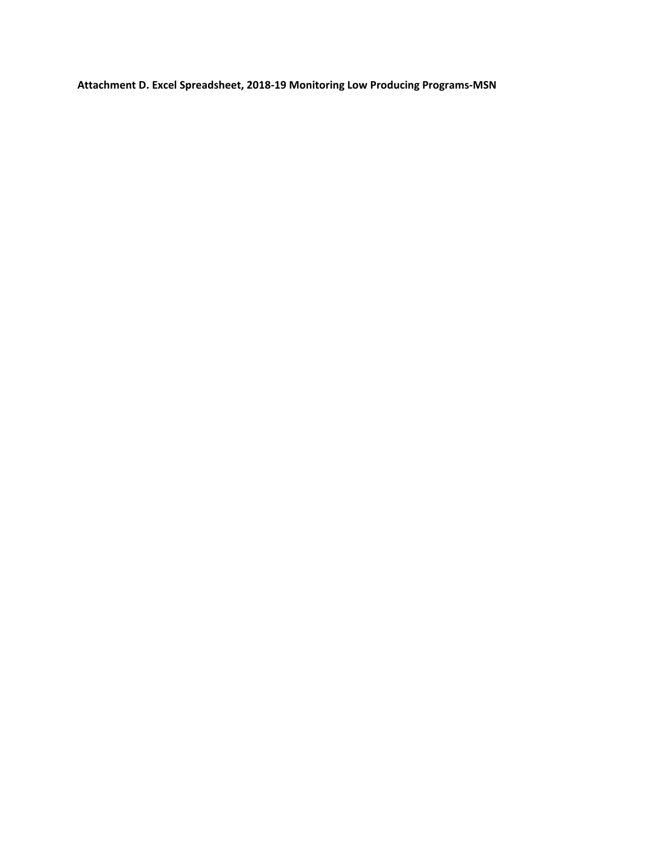**Attachment D. Excel Spreadsheet, 2018‐19 Monitoring Low Producing Programs‐MSN**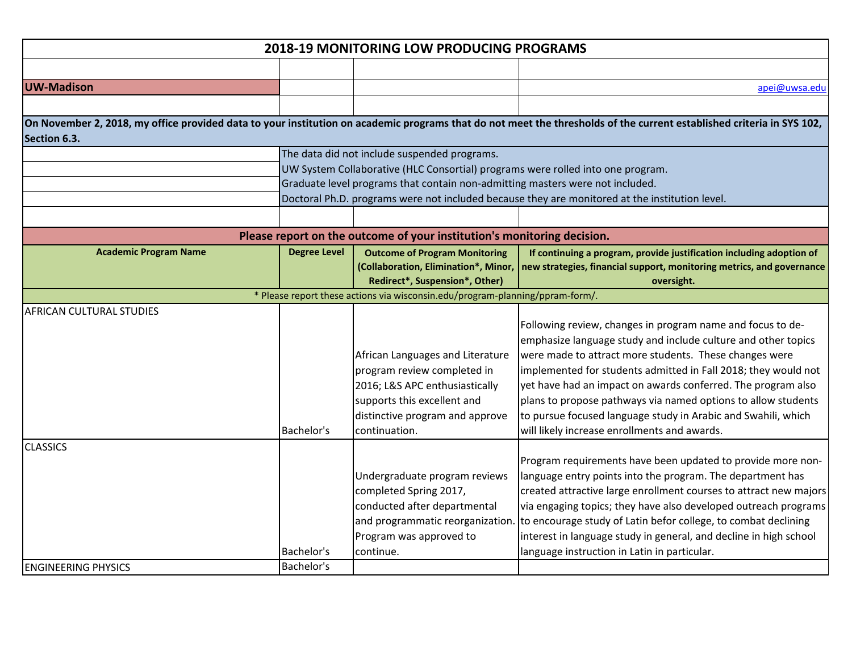|                                               |                          | <b>2018-19 MONITORING LOW PRODUCING PROGRAMS</b>                                                                                                                                                                 |                                                                                                                                                                                                                                                                                                                                                                                                                                                                                                           |
|-----------------------------------------------|--------------------------|------------------------------------------------------------------------------------------------------------------------------------------------------------------------------------------------------------------|-----------------------------------------------------------------------------------------------------------------------------------------------------------------------------------------------------------------------------------------------------------------------------------------------------------------------------------------------------------------------------------------------------------------------------------------------------------------------------------------------------------|
|                                               |                          |                                                                                                                                                                                                                  |                                                                                                                                                                                                                                                                                                                                                                                                                                                                                                           |
| <b>UW-Madison</b>                             |                          |                                                                                                                                                                                                                  | apei@uwsa.edu                                                                                                                                                                                                                                                                                                                                                                                                                                                                                             |
|                                               |                          |                                                                                                                                                                                                                  |                                                                                                                                                                                                                                                                                                                                                                                                                                                                                                           |
| Section 6.3.                                  |                          |                                                                                                                                                                                                                  | On November 2, 2018, my office provided data to your institution on academic programs that do not meet the thresholds of the current established criteria in SYS 102,                                                                                                                                                                                                                                                                                                                                     |
|                                               |                          | The data did not include suspended programs.<br>UW System Collaborative (HLC Consortial) programs were rolled into one program.<br>Graduate level programs that contain non-admitting masters were not included. | Doctoral Ph.D. programs were not included because they are monitored at the institution level.                                                                                                                                                                                                                                                                                                                                                                                                            |
|                                               |                          |                                                                                                                                                                                                                  |                                                                                                                                                                                                                                                                                                                                                                                                                                                                                                           |
|                                               |                          | Please report on the outcome of your institution's monitoring decision.                                                                                                                                          |                                                                                                                                                                                                                                                                                                                                                                                                                                                                                                           |
| <b>Academic Program Name</b>                  | <b>Degree Level</b>      | <b>Outcome of Program Monitoring</b><br>Redirect*, Suspension*, Other)                                                                                                                                           | If continuing a program, provide justification including adoption of<br>(Collaboration, Elimination*, Minor,   new strategies, financial support, monitoring metrics, and governance<br>oversight.                                                                                                                                                                                                                                                                                                        |
|                                               |                          | * Please report these actions via wisconsin.edu/program-planning/ppram-form/.                                                                                                                                    |                                                                                                                                                                                                                                                                                                                                                                                                                                                                                                           |
| <b>AFRICAN CULTURAL STUDIES</b>               | Bachelor's               | African Languages and Literature<br>program review completed in<br>2016; L&S APC enthusiastically<br>supports this excellent and<br>distinctive program and approve<br>continuation.                             | Following review, changes in program name and focus to de-<br>emphasize language study and include culture and other topics<br>were made to attract more students. These changes were<br>implemented for students admitted in Fall 2018; they would not<br>yet have had an impact on awards conferred. The program also<br>plans to propose pathways via named options to allow students<br>to pursue focused language study in Arabic and Swahili, which<br>will likely increase enrollments and awards. |
| <b>CLASSICS</b><br><b>ENGINEERING PHYSICS</b> | Bachelor's<br>Bachelor's | Undergraduate program reviews<br>completed Spring 2017,<br>conducted after departmental<br>and programmatic reorganization.<br>Program was approved to<br>continue.                                              | Program requirements have been updated to provide more non-<br>language entry points into the program. The department has<br>created attractive large enrollment courses to attract new majors<br>via engaging topics; they have also developed outreach programs<br>to encourage study of Latin befor college, to combat declining<br>interest in language study in general, and decline in high school<br>language instruction in Latin in particular.                                                  |
|                                               |                          |                                                                                                                                                                                                                  |                                                                                                                                                                                                                                                                                                                                                                                                                                                                                                           |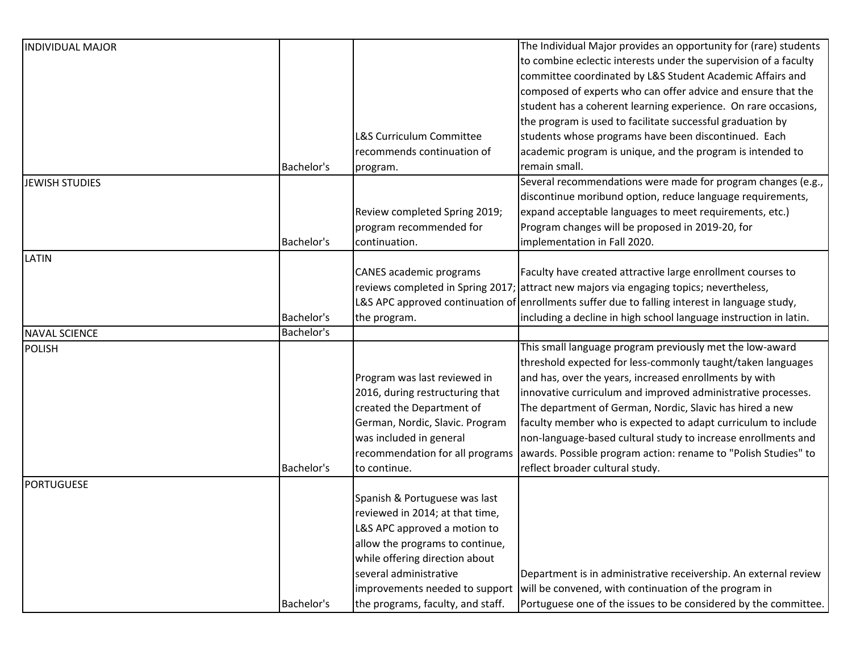| <b>INDIVIDUAL MAJOR</b> |            |                                     | The Individual Major provides an opportunity for (rare) students                               |
|-------------------------|------------|-------------------------------------|------------------------------------------------------------------------------------------------|
|                         |            |                                     | to combine eclectic interests under the supervision of a faculty                               |
|                         |            |                                     | committee coordinated by L&S Student Academic Affairs and                                      |
|                         |            |                                     | composed of experts who can offer advice and ensure that the                                   |
|                         |            |                                     | student has a coherent learning experience. On rare occasions,                                 |
|                         |            |                                     | the program is used to facilitate successful graduation by                                     |
|                         |            | <b>L&amp;S Curriculum Committee</b> | students whose programs have been discontinued. Each                                           |
|                         |            | recommends continuation of          | academic program is unique, and the program is intended to                                     |
|                         | Bachelor's | program.                            | remain small.                                                                                  |
| <b>JEWISH STUDIES</b>   |            |                                     | Several recommendations were made for program changes (e.g.,                                   |
|                         |            |                                     | discontinue moribund option, reduce language requirements,                                     |
|                         |            | Review completed Spring 2019;       | expand acceptable languages to meet requirements, etc.)                                        |
|                         |            | program recommended for             | Program changes will be proposed in 2019-20, for                                               |
|                         | Bachelor's | continuation.                       | implementation in Fall 2020.                                                                   |
| LATIN                   |            |                                     |                                                                                                |
|                         |            | CANES academic programs             | Faculty have created attractive large enrollment courses to                                    |
|                         |            |                                     | reviews completed in Spring 2017; attract new majors via engaging topics; nevertheless,        |
|                         |            |                                     | L&S APC approved continuation of enrollments suffer due to falling interest in language study, |
|                         | Bachelor's | the program.                        | including a decline in high school language instruction in latin.                              |
| <b>NAVAL SCIENCE</b>    | Bachelor's |                                     |                                                                                                |
| <b>POLISH</b>           |            |                                     | This small language program previously met the low-award                                       |
|                         |            |                                     | threshold expected for less-commonly taught/taken languages                                    |
|                         |            | Program was last reviewed in        | and has, over the years, increased enrollments by with                                         |
|                         |            | 2016, during restructuring that     | innovative curriculum and improved administrative processes.                                   |
|                         |            | created the Department of           | The department of German, Nordic, Slavic has hired a new                                       |
|                         |            | German, Nordic, Slavic. Program     | faculty member who is expected to adapt curriculum to include                                  |
|                         |            | was included in general             | non-language-based cultural study to increase enrollments and                                  |
|                         |            | recommendation for all programs     | awards. Possible program action: rename to "Polish Studies" to                                 |
|                         | Bachelor's | to continue.                        | reflect broader cultural study.                                                                |
| <b>PORTUGUESE</b>       |            |                                     |                                                                                                |
|                         |            | Spanish & Portuguese was last       |                                                                                                |
|                         |            | reviewed in 2014; at that time,     |                                                                                                |
|                         |            | L&S APC approved a motion to        |                                                                                                |
|                         |            | allow the programs to continue,     |                                                                                                |
|                         |            | while offering direction about      |                                                                                                |
|                         |            | several administrative              | Department is in administrative receivership. An external review                               |
|                         |            | improvements needed to support      | will be convened, with continuation of the program in                                          |
|                         | Bachelor's | the programs, faculty, and staff.   | Portuguese one of the issues to be considered by the committee.                                |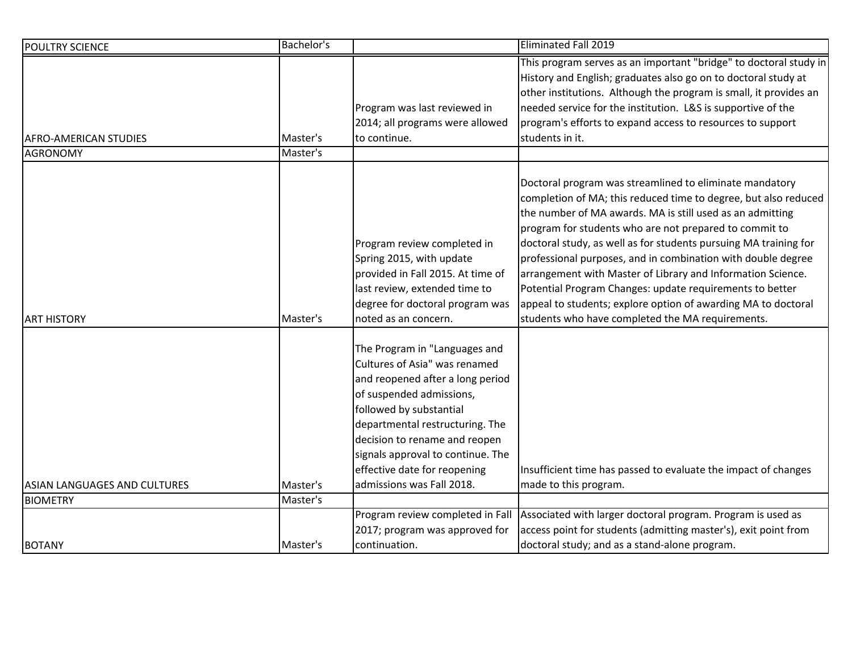| <b>POULTRY SCIENCE</b>       | Bachelor's |                                                                                                                                                                                                                                                                                                                                 | <b>Eliminated Fall 2019</b>                                                                                                                                                                                                                                                                                                                                                                                                                                                                                                                                                                                                           |
|------------------------------|------------|---------------------------------------------------------------------------------------------------------------------------------------------------------------------------------------------------------------------------------------------------------------------------------------------------------------------------------|---------------------------------------------------------------------------------------------------------------------------------------------------------------------------------------------------------------------------------------------------------------------------------------------------------------------------------------------------------------------------------------------------------------------------------------------------------------------------------------------------------------------------------------------------------------------------------------------------------------------------------------|
| AFRO-AMERICAN STUDIES        | Master's   | Program was last reviewed in<br>2014; all programs were allowed<br>to continue.                                                                                                                                                                                                                                                 | This program serves as an important "bridge" to doctoral study in<br>History and English; graduates also go on to doctoral study at<br>other institutions. Although the program is small, it provides an<br>needed service for the institution. L&S is supportive of the<br>program's efforts to expand access to resources to support<br>students in it.                                                                                                                                                                                                                                                                             |
| <b>AGRONOMY</b>              | Master's   |                                                                                                                                                                                                                                                                                                                                 |                                                                                                                                                                                                                                                                                                                                                                                                                                                                                                                                                                                                                                       |
| <b>ART HISTORY</b>           | Master's   | Program review completed in<br>Spring 2015, with update<br>provided in Fall 2015. At time of<br>last review, extended time to<br>degree for doctoral program was<br>noted as an concern.                                                                                                                                        | Doctoral program was streamlined to eliminate mandatory<br>completion of MA; this reduced time to degree, but also reduced<br>the number of MA awards. MA is still used as an admitting<br>program for students who are not prepared to commit to<br>doctoral study, as well as for students pursuing MA training for<br>professional purposes, and in combination with double degree<br>arrangement with Master of Library and Information Science.<br>Potential Program Changes: update requirements to better<br>appeal to students; explore option of awarding MA to doctoral<br>students who have completed the MA requirements. |
| ASIAN LANGUAGES AND CULTURES | Master's   | The Program in "Languages and<br>Cultures of Asia" was renamed<br>and reopened after a long period<br>of suspended admissions,<br>followed by substantial<br>departmental restructuring. The<br>decision to rename and reopen<br>signals approval to continue. The<br>effective date for reopening<br>admissions was Fall 2018. | Insufficient time has passed to evaluate the impact of changes<br>made to this program.                                                                                                                                                                                                                                                                                                                                                                                                                                                                                                                                               |
| <b>BIOMETRY</b>              | Master's   |                                                                                                                                                                                                                                                                                                                                 |                                                                                                                                                                                                                                                                                                                                                                                                                                                                                                                                                                                                                                       |
| <b>BOTANY</b>                | Master's   | Program review completed in Fall<br>2017; program was approved for<br>continuation.                                                                                                                                                                                                                                             | Associated with larger doctoral program. Program is used as<br>access point for students (admitting master's), exit point from<br>doctoral study; and as a stand-alone program.                                                                                                                                                                                                                                                                                                                                                                                                                                                       |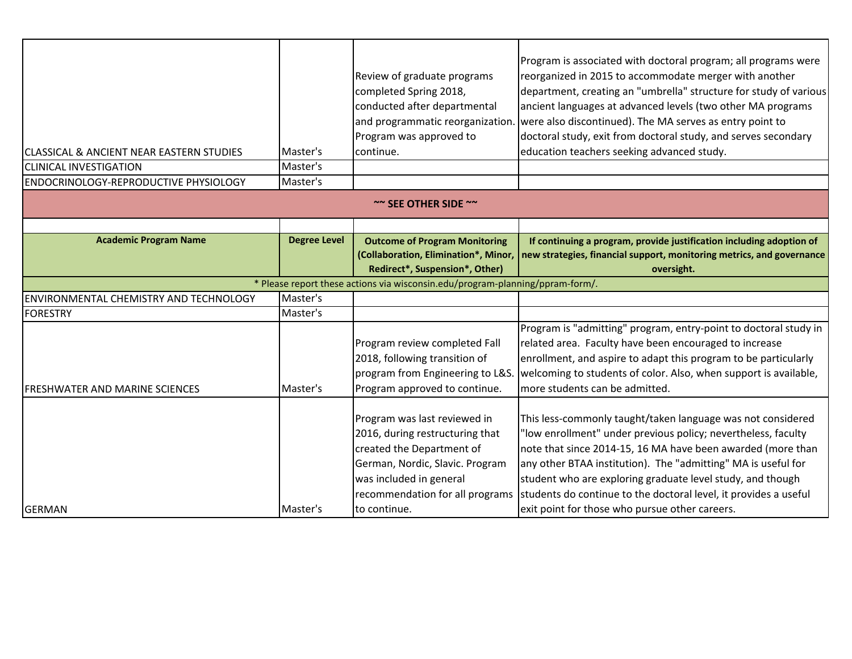| <b>CLASSICAL &amp; ANCIENT NEAR EASTERN STUDIES</b><br><b>CLINICAL INVESTIGATION</b><br>ENDOCRINOLOGY-REPRODUCTIVE PHYSIOLOGY | Master's<br>Master's<br>Master's | Review of graduate programs<br>completed Spring 2018,<br>conducted after departmental<br>and programmatic reorganization<br>Program was approved to<br>continue.                                              | Program is associated with doctoral program; all programs were<br>reorganized in 2015 to accommodate merger with another<br>department, creating an "umbrella" structure for study of various<br>ancient languages at advanced levels (two other MA programs<br>were also discontinued). The MA serves as entry point to<br>doctoral study, exit from doctoral study, and serves secondary<br>education teachers seeking advanced study.         |
|-------------------------------------------------------------------------------------------------------------------------------|----------------------------------|---------------------------------------------------------------------------------------------------------------------------------------------------------------------------------------------------------------|--------------------------------------------------------------------------------------------------------------------------------------------------------------------------------------------------------------------------------------------------------------------------------------------------------------------------------------------------------------------------------------------------------------------------------------------------|
|                                                                                                                               |                                  | $\sim$ SEE OTHER SIDE $\sim$                                                                                                                                                                                  |                                                                                                                                                                                                                                                                                                                                                                                                                                                  |
|                                                                                                                               |                                  |                                                                                                                                                                                                               |                                                                                                                                                                                                                                                                                                                                                                                                                                                  |
| <b>Academic Program Name</b>                                                                                                  | <b>Degree Level</b>              | <b>Outcome of Program Monitoring</b>                                                                                                                                                                          | If continuing a program, provide justification including adoption of                                                                                                                                                                                                                                                                                                                                                                             |
|                                                                                                                               |                                  | (Collaboration, Elimination*, Minor,                                                                                                                                                                          | new strategies, financial support, monitoring metrics, and governance                                                                                                                                                                                                                                                                                                                                                                            |
|                                                                                                                               |                                  | Redirect*, Suspension*, Other)                                                                                                                                                                                | oversight.                                                                                                                                                                                                                                                                                                                                                                                                                                       |
|                                                                                                                               |                                  | * Please report these actions via wisconsin.edu/program-planning/ppram-form/.                                                                                                                                 |                                                                                                                                                                                                                                                                                                                                                                                                                                                  |
| ENVIRONMENTAL CHEMISTRY AND TECHNOLOGY                                                                                        | Master's                         |                                                                                                                                                                                                               |                                                                                                                                                                                                                                                                                                                                                                                                                                                  |
| <b>FORESTRY</b>                                                                                                               | Master's                         |                                                                                                                                                                                                               |                                                                                                                                                                                                                                                                                                                                                                                                                                                  |
| FRESHWATER AND MARINE SCIENCES                                                                                                | Master's                         | Program review completed Fall<br>2018, following transition of<br>program from Engineering to L&S<br>Program approved to continue.                                                                            | Program is "admitting" program, entry-point to doctoral study in<br>related area. Faculty have been encouraged to increase<br>enrollment, and aspire to adapt this program to be particularly<br>welcoming to students of color. Also, when support is available,<br>more students can be admitted.                                                                                                                                              |
| <b>GERMAN</b>                                                                                                                 | Master's                         | Program was last reviewed in<br>2016, during restructuring that<br>created the Department of<br>German, Nordic, Slavic. Program<br>was included in general<br>recommendation for all programs<br>to continue. | This less-commonly taught/taken language was not considered<br>"low enrollment" under previous policy; nevertheless, faculty<br>note that since 2014-15, 16 MA have been awarded (more than<br>any other BTAA institution). The "admitting" MA is useful for<br>student who are exploring graduate level study, and though<br>students do continue to the doctoral level, it provides a useful<br>exit point for those who pursue other careers. |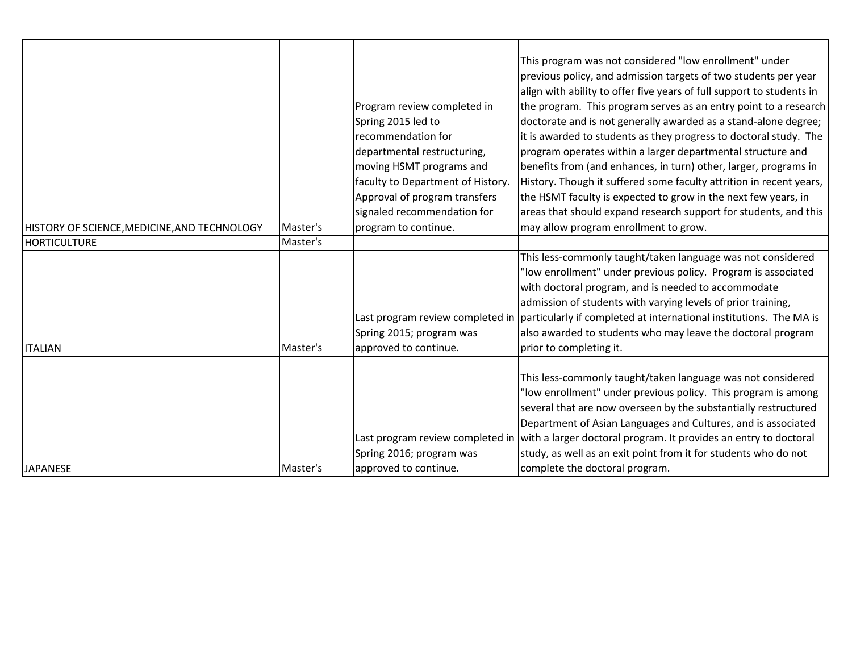| HISTORY OF SCIENCE, MEDICINE, AND TECHNOLOGY<br><b>HORTICULTURE</b> | Master's<br>Master's | Program review completed in<br>Spring 2015 led to<br>recommendation for<br>departmental restructuring,<br>moving HSMT programs and<br>faculty to Department of History.<br>Approval of program transfers<br>signaled recommendation for<br>program to continue. | This program was not considered "low enrollment" under<br>previous policy, and admission targets of two students per year<br>align with ability to offer five years of full support to students in<br>the program. This program serves as an entry point to a research<br>doctorate and is not generally awarded as a stand-alone degree;<br>it is awarded to students as they progress to doctoral study. The<br>program operates within a larger departmental structure and<br>benefits from (and enhances, in turn) other, larger, programs in<br>History. Though it suffered some faculty attrition in recent years,<br>the HSMT faculty is expected to grow in the next few years, in<br>areas that should expand research support for students, and this<br>may allow program enrollment to grow. |
|---------------------------------------------------------------------|----------------------|-----------------------------------------------------------------------------------------------------------------------------------------------------------------------------------------------------------------------------------------------------------------|---------------------------------------------------------------------------------------------------------------------------------------------------------------------------------------------------------------------------------------------------------------------------------------------------------------------------------------------------------------------------------------------------------------------------------------------------------------------------------------------------------------------------------------------------------------------------------------------------------------------------------------------------------------------------------------------------------------------------------------------------------------------------------------------------------|
|                                                                     |                      |                                                                                                                                                                                                                                                                 | This less-commonly taught/taken language was not considered<br>'low enrollment" under previous policy. Program is associated<br>with doctoral program, and is needed to accommodate<br>admission of students with varying levels of prior training,                                                                                                                                                                                                                                                                                                                                                                                                                                                                                                                                                     |
| <b>ITALIAN</b>                                                      | Master's             | Spring 2015; program was<br>approved to continue.                                                                                                                                                                                                               | Last program review completed in particularly if completed at international institutions. The MA is<br>also awarded to students who may leave the doctoral program<br>prior to completing it.                                                                                                                                                                                                                                                                                                                                                                                                                                                                                                                                                                                                           |
| <b>JAPANESE</b>                                                     | Master's             | Spring 2016; program was<br>approved to continue.                                                                                                                                                                                                               | This less-commonly taught/taken language was not considered<br>'low enrollment" under previous policy. This program is among<br>several that are now overseen by the substantially restructured<br>Department of Asian Languages and Cultures, and is associated<br>Last program review completed in with a larger doctoral program. It provides an entry to doctoral<br>study, as well as an exit point from it for students who do not<br>complete the doctoral program.                                                                                                                                                                                                                                                                                                                              |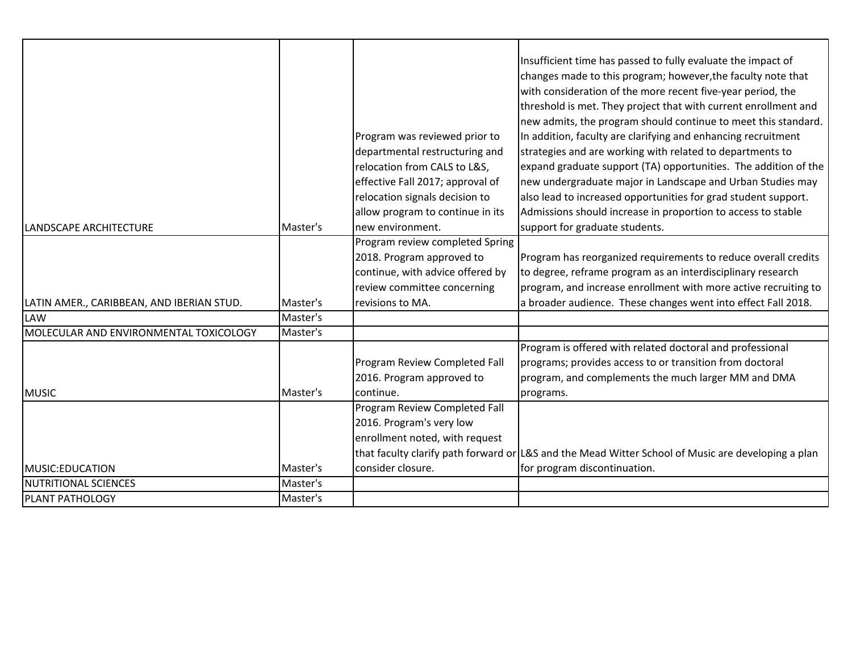|                                           |          |                                                                    | Insufficient time has passed to fully evaluate the impact of<br>changes made to this program; however, the faculty note that<br>with consideration of the more recent five-year period, the<br>threshold is met. They project that with current enrollment and<br>new admits, the program should continue to meet this standard. |
|-------------------------------------------|----------|--------------------------------------------------------------------|----------------------------------------------------------------------------------------------------------------------------------------------------------------------------------------------------------------------------------------------------------------------------------------------------------------------------------|
|                                           |          | Program was reviewed prior to<br>departmental restructuring and    | In addition, faculty are clarifying and enhancing recruitment<br>strategies and are working with related to departments to                                                                                                                                                                                                       |
|                                           |          | relocation from CALS to L&S,                                       | expand graduate support (TA) opportunities. The addition of the                                                                                                                                                                                                                                                                  |
|                                           |          | effective Fall 2017; approval of                                   | new undergraduate major in Landscape and Urban Studies may                                                                                                                                                                                                                                                                       |
|                                           |          | relocation signals decision to<br>allow program to continue in its | also lead to increased opportunities for grad student support.<br>Admissions should increase in proportion to access to stable                                                                                                                                                                                                   |
| <b>LANDSCAPE ARCHITECTURE</b>             | Master's | new environment.                                                   | support for graduate students.                                                                                                                                                                                                                                                                                                   |
|                                           |          | Program review completed Spring                                    |                                                                                                                                                                                                                                                                                                                                  |
|                                           |          | 2018. Program approved to                                          | Program has reorganized requirements to reduce overall credits                                                                                                                                                                                                                                                                   |
|                                           |          | continue, with advice offered by                                   | to degree, reframe program as an interdisciplinary research                                                                                                                                                                                                                                                                      |
|                                           |          | review committee concerning                                        | program, and increase enrollment with more active recruiting to                                                                                                                                                                                                                                                                  |
| LATIN AMER., CARIBBEAN, AND IBERIAN STUD. | Master's | revisions to MA.                                                   | a broader audience. These changes went into effect Fall 2018.                                                                                                                                                                                                                                                                    |
| <b>LAW</b>                                | Master's |                                                                    |                                                                                                                                                                                                                                                                                                                                  |
| MOLECULAR AND ENVIRONMENTAL TOXICOLOGY    | Master's |                                                                    |                                                                                                                                                                                                                                                                                                                                  |
|                                           |          |                                                                    | Program is offered with related doctoral and professional                                                                                                                                                                                                                                                                        |
|                                           |          | Program Review Completed Fall                                      | programs; provides access to or transition from doctoral                                                                                                                                                                                                                                                                         |
|                                           |          | 2016. Program approved to                                          | program, and complements the much larger MM and DMA                                                                                                                                                                                                                                                                              |
| <b>MUSIC</b>                              | Master's | continue.                                                          | programs.                                                                                                                                                                                                                                                                                                                        |
|                                           |          | Program Review Completed Fall                                      |                                                                                                                                                                                                                                                                                                                                  |
|                                           |          | 2016. Program's very low                                           |                                                                                                                                                                                                                                                                                                                                  |
|                                           |          | enrollment noted, with request                                     |                                                                                                                                                                                                                                                                                                                                  |
|                                           |          |                                                                    | that faculty clarify path forward or L&S and the Mead Witter School of Music are developing a plan                                                                                                                                                                                                                               |
| MUSIC: EDUCATION                          | Master's | consider closure.                                                  | for program discontinuation.                                                                                                                                                                                                                                                                                                     |
| <b>NUTRITIONAL SCIENCES</b>               | Master's |                                                                    |                                                                                                                                                                                                                                                                                                                                  |
| PLANT PATHOLOGY                           | Master's |                                                                    |                                                                                                                                                                                                                                                                                                                                  |